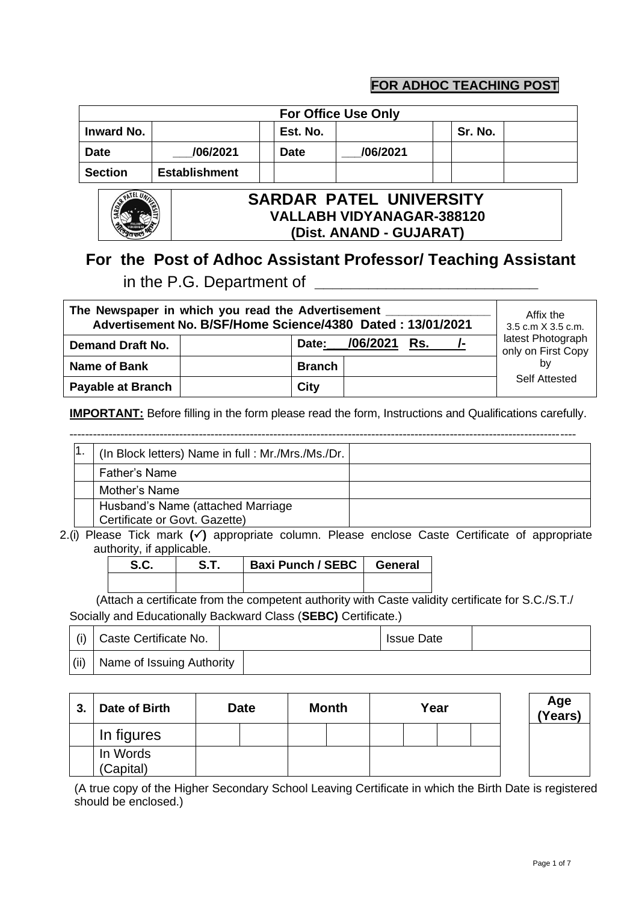## **FOR ADHOC TEACHING POST**

|                                    | <b>For Office Use Only</b> |  |             |          |         |  |  |  |  |  |  |  |
|------------------------------------|----------------------------|--|-------------|----------|---------|--|--|--|--|--|--|--|
| <b>Inward No.</b>                  |                            |  | Est. No.    |          | Sr. No. |  |  |  |  |  |  |  |
| <b>Date</b>                        | /06/2021                   |  | <b>Date</b> | /06/2021 |         |  |  |  |  |  |  |  |
| <b>Section</b>                     | <b>Establishment</b>       |  |             |          |         |  |  |  |  |  |  |  |
| <b>IINIVERSITY</b><br>SARDAR PATEL |                            |  |             |          |         |  |  |  |  |  |  |  |

|  | ٠<br>ANAGAR |
|--|-------------|

### **SARDAR PATEL UNIVERSITY VALLABH VIDYANAGAR-388120 (Dist. ANAND - GUJARAT)**

## **For the Post of Adhoc Assistant Professor/ Teaching Assistant** in the P.G. Department of **\_\_\_\_\_\_\_\_\_\_\_\_\_\_\_\_\_\_\_\_\_\_\_\_\_**

| The Newspaper in which you read the Advertisement<br>Advertisement No. B/SF/Home Science/4380 Dated: 13/01/2021 |               | Affix the<br>3.5 c.m X 3.5 c.m. |     |          |                                         |
|-----------------------------------------------------------------------------------------------------------------|---------------|---------------------------------|-----|----------|-----------------------------------------|
| <b>Demand Draft No.</b>                                                                                         | Date:         | _/06/2021                       | Rs. | <i>—</i> | latest Photograph<br>only on First Copy |
| Name of Bank                                                                                                    | <b>Branch</b> |                                 |     |          | by                                      |
| <b>Payable at Branch</b>                                                                                        | City          |                                 |     |          | Self Attested                           |

**IMPORTANT:** Before filling in the form please read the form, Instructions and Qualifications carefully.

|  | (In Block letters) Name in full: Mr./Mrs./Ms./Dr.                  |  |
|--|--------------------------------------------------------------------|--|
|  | <b>Father's Name</b>                                               |  |
|  | Mother's Name                                                      |  |
|  | Husband's Name (attached Marriage<br>Certificate or Govt. Gazette) |  |

2.(i) Please Tick mark **()** appropriate column. Please enclose Caste Certificate of appropriate authority, if applicable.

|  | Baxi Punch / SEBC   General |  |
|--|-----------------------------|--|
|  |                             |  |

(Attach a certificate from the competent authority with Caste validity certificate for S.C./S.T./ Socially and Educationally Backward Class (**SEBC)** Certificate.)

|      | (i) Caste Certificate No.   | <b>Issue Date</b> |  |
|------|-----------------------------|-------------------|--|
| (ii) | , Name of Issuing Authority |                   |  |

| 3. | Date of Birth         | Date | <b>Month</b> | Year | Age<br>(Years) |  |
|----|-----------------------|------|--------------|------|----------------|--|
|    | In figures            |      |              |      |                |  |
|    | In Words<br>(Capital) |      |              |      |                |  |

(A true copy of the Higher Secondary School Leaving Certificate in which the Birth Date is registered should be enclosed.)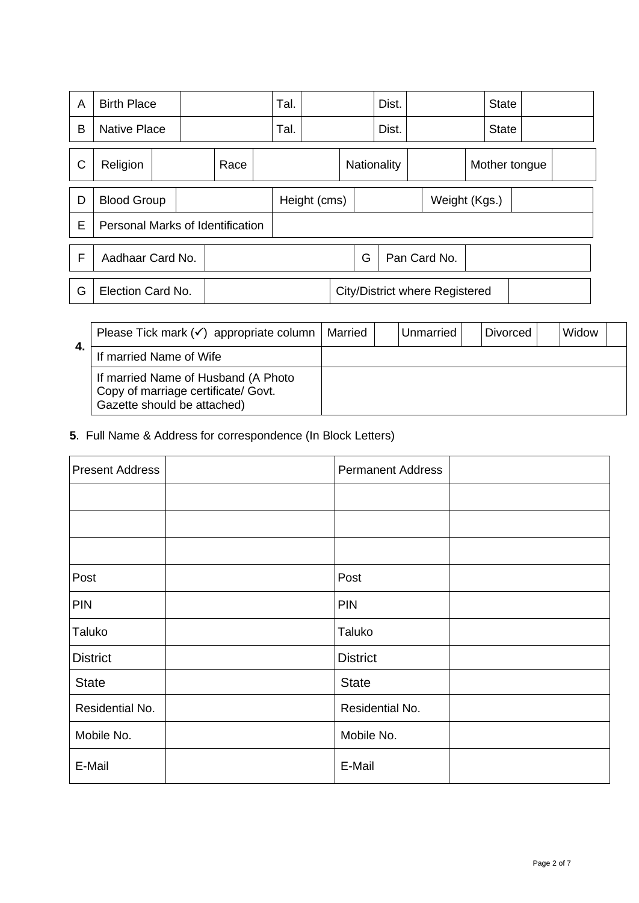| A | <b>Birth Place</b>               |  |      |  |   | Tal. |                    |  |              | Dist. |  |                                       | <b>State</b> |               |  |
|---|----------------------------------|--|------|--|---|------|--------------------|--|--------------|-------|--|---------------------------------------|--------------|---------------|--|
| B | <b>Native Place</b>              |  |      |  |   | Tal. |                    |  |              | Dist. |  |                                       | <b>State</b> |               |  |
| C | Religion                         |  | Race |  |   |      | <b>Nationality</b> |  |              |       |  |                                       |              | Mother tongue |  |
| D | <b>Blood Group</b>               |  |      |  |   |      | Height (cms)       |  |              |       |  | Weight (Kgs.)                         |              |               |  |
| E | Personal Marks of Identification |  |      |  |   |      |                    |  |              |       |  |                                       |              |               |  |
| F | Aadhaar Card No.                 |  |      |  | G |      |                    |  | Pan Card No. |       |  |                                       |              |               |  |
| G | Election Card No.                |  |      |  |   |      |                    |  |              |       |  | <b>City/District where Registered</b> |              |               |  |

| 4. | Please Tick mark $(\checkmark)$ appropriate column                                                        | Married | Unmarried | <b>Divorced</b> | Widow |  |
|----|-----------------------------------------------------------------------------------------------------------|---------|-----------|-----------------|-------|--|
|    | If married Name of Wife                                                                                   |         |           |                 |       |  |
|    | If married Name of Husband (A Photo<br>Copy of marriage certificate/ Govt.<br>Gazette should be attached) |         |           |                 |       |  |

**5**. Full Name & Address for correspondence (In Block Letters)

| <b>Present Address</b> | <b>Permanent Address</b> |
|------------------------|--------------------------|
|                        |                          |
|                        |                          |
|                        |                          |
| Post                   | Post                     |
| <b>PIN</b>             | <b>PIN</b>               |
| Taluko                 | Taluko                   |
| <b>District</b>        | <b>District</b>          |
| <b>State</b>           | <b>State</b>             |
| Residential No.        | Residential No.          |
| Mobile No.             | Mobile No.               |
| E-Mail                 | E-Mail                   |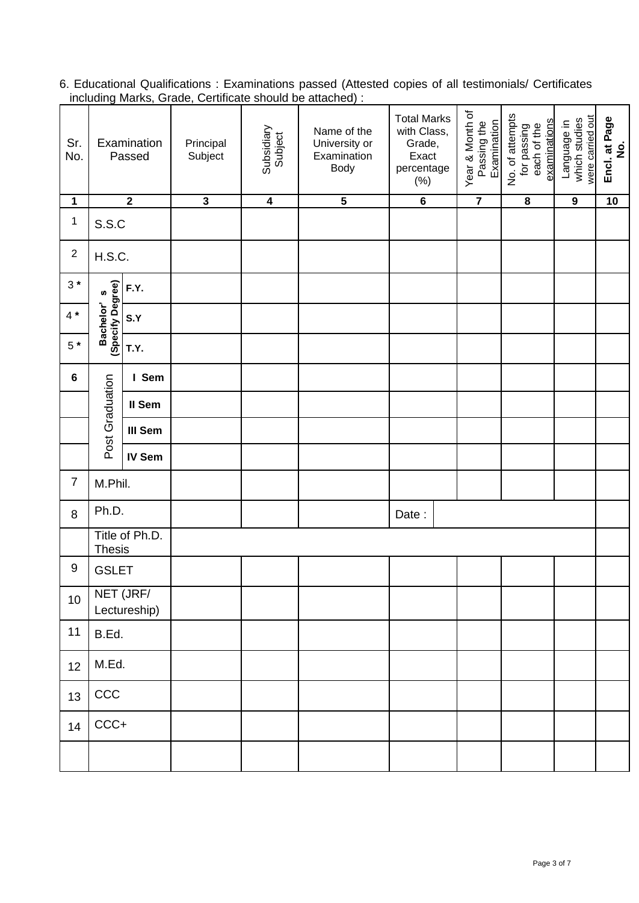6. Educational Qualifications : Examinations passed (Attested copies of all testimonials/ Certificates including Marks, Grade, Certificate should be attached) :

| Sr.<br>No.       | Subsidiary<br>Subject<br>Examination<br>Principal<br>Subject<br>Passed<br>$\overline{2}$<br>$\overline{\mathbf{3}}$<br>$\overline{4}$ |                           | Name of the<br>University or<br>Examination<br><b>Body</b> | <b>Total Marks</b><br>with Class,<br>Grade,<br>Exact<br>percentage<br>$(\%)$ | Year & Month of<br>Passing the<br>Examination | No. of attempts<br>examinations<br>each of the<br>for passing | were carried out<br>which studies<br>Language in | Encl. at Page<br>$\dot{\mathbf{z}}$ |    |
|------------------|---------------------------------------------------------------------------------------------------------------------------------------|---------------------------|------------------------------------------------------------|------------------------------------------------------------------------------|-----------------------------------------------|---------------------------------------------------------------|--------------------------------------------------|-------------------------------------|----|
| $\mathbf 1$      |                                                                                                                                       |                           |                                                            | $\overline{5}$                                                               | $\overline{6}$                                | $\overline{\mathbf{7}}$                                       | $\overline{\mathbf{8}}$                          | $\overline{9}$                      | 10 |
| $\mathbf{1}$     | S.S.C                                                                                                                                 |                           |                                                            |                                                                              |                                               |                                                               |                                                  |                                     |    |
| $\overline{2}$   | <b>H.S.C.</b>                                                                                                                         |                           |                                                            |                                                                              |                                               |                                                               |                                                  |                                     |    |
| $3*$             | F.Y.                                                                                                                                  |                           |                                                            |                                                                              |                                               |                                                               |                                                  |                                     |    |
| $4 *$            | Bachelor's<br>(Specify Degree)                                                                                                        | S.Y                       |                                                            |                                                                              |                                               |                                                               |                                                  |                                     |    |
| $5*$             |                                                                                                                                       | T.Y.                      |                                                            |                                                                              |                                               |                                                               |                                                  |                                     |    |
| $6\phantom{a}$   |                                                                                                                                       | I Sem                     |                                                            |                                                                              |                                               |                                                               |                                                  |                                     |    |
|                  |                                                                                                                                       | II Sem                    |                                                            |                                                                              |                                               |                                                               |                                                  |                                     |    |
|                  | Post Graduation                                                                                                                       | III Sem                   |                                                            |                                                                              |                                               |                                                               |                                                  |                                     |    |
|                  |                                                                                                                                       | IV Sem                    |                                                            |                                                                              |                                               |                                                               |                                                  |                                     |    |
| $\overline{7}$   | M.Phil.                                                                                                                               |                           |                                                            |                                                                              |                                               |                                                               |                                                  |                                     |    |
| 8                | Ph.D.                                                                                                                                 |                           |                                                            |                                                                              | Date:                                         |                                                               |                                                  |                                     |    |
|                  | <b>Thesis</b>                                                                                                                         | Title of Ph.D.            |                                                            |                                                                              |                                               |                                                               |                                                  |                                     |    |
| $\boldsymbol{9}$ | <b>GSLET</b>                                                                                                                          |                           |                                                            |                                                                              |                                               |                                                               |                                                  |                                     |    |
| 10               |                                                                                                                                       | NET (JRF/<br>Lectureship) |                                                            |                                                                              |                                               |                                                               |                                                  |                                     |    |
| 11               | B.Ed.                                                                                                                                 |                           |                                                            |                                                                              |                                               |                                                               |                                                  |                                     |    |
| 12               | M.Ed.                                                                                                                                 |                           |                                                            |                                                                              |                                               |                                                               |                                                  |                                     |    |
| 13               | CCC                                                                                                                                   |                           |                                                            |                                                                              |                                               |                                                               |                                                  |                                     |    |
| 14               | $CCC +$                                                                                                                               |                           |                                                            |                                                                              |                                               |                                                               |                                                  |                                     |    |
|                  |                                                                                                                                       |                           |                                                            |                                                                              |                                               |                                                               |                                                  |                                     |    |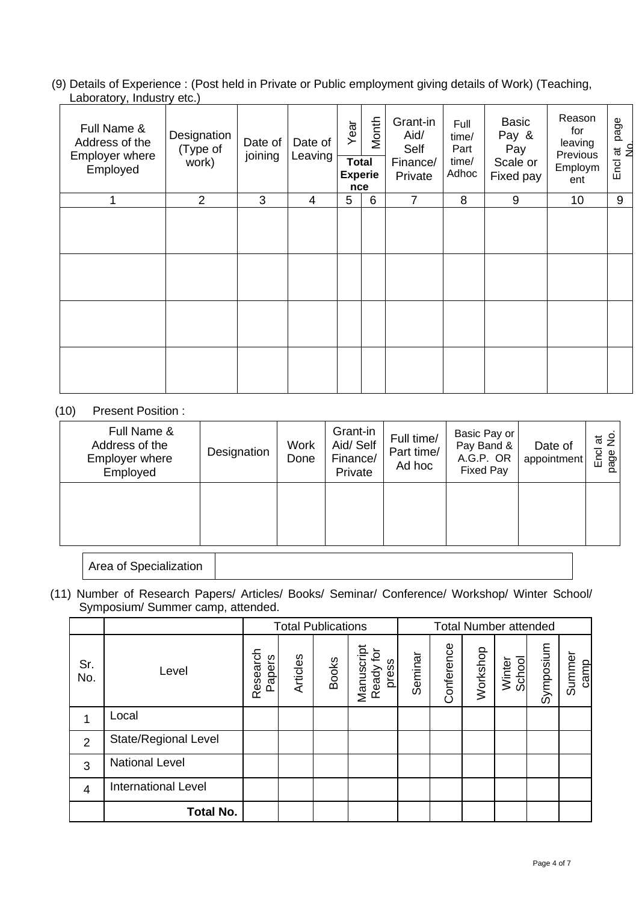(9) Details of Experience : (Post held in Private or Public employment giving details of Work) (Teaching, Laboratory, Industry etc.)

| Full Name &<br>Address of the<br><b>Employer where</b><br>Employed | Designation<br>(Type of<br>work) | Date of<br>joining | Date of<br>Leaving | Year<br><b>Total</b><br>nce | Month<br><b>Experie</b> | Grant-in<br>Aid/<br>Self<br>Finance/<br>Private | Full<br>time/<br>Part<br>time/<br>Adhoc | <b>Basic</b><br>Pay &<br>Pay<br>Scale or<br>Fixed pay | Reason<br>for<br>leaving<br>Previous<br>Employm<br>ent | page<br>$\overline{a}$<br>Encl at |
|--------------------------------------------------------------------|----------------------------------|--------------------|--------------------|-----------------------------|-------------------------|-------------------------------------------------|-----------------------------------------|-------------------------------------------------------|--------------------------------------------------------|-----------------------------------|
| 1                                                                  | $\overline{2}$                   | 3                  | 4                  | 5                           | 6                       | $\overline{7}$                                  | 8                                       | 9                                                     | 10 <sup>1</sup>                                        | 9                                 |
|                                                                    |                                  |                    |                    |                             |                         |                                                 |                                         |                                                       |                                                        |                                   |
|                                                                    |                                  |                    |                    |                             |                         |                                                 |                                         |                                                       |                                                        |                                   |

#### (10) Present Position :

| Full Name &<br>Address of the<br><b>Employer where</b><br>Employed | Designation | <b>Work</b><br>Done | Grant-in<br>Aid/ Self<br>Finance/<br>Private | Full time/<br>Part time/<br>Ad hoc | Basic Pay or<br>Pay Band &<br>A.G.P. OR<br><b>Fixed Pay</b> | Date of<br>appointment | $\frac{9}{2}$<br>$\vec{a}$<br>Encl<br>page<br>ш |
|--------------------------------------------------------------------|-------------|---------------------|----------------------------------------------|------------------------------------|-------------------------------------------------------------|------------------------|-------------------------------------------------|
|                                                                    |             |                     |                                              |                                    |                                                             |                        |                                                 |

Area of Specialization

(11) Number of Research Papers/ Articles/ Books/ Seminar/ Conference/ Workshop/ Winter School/ Symposium/ Summer camp, attended.

|                |                            | <b>Total Publications</b> |          | <b>Total Number attended</b> |                                  |         |            |          |                  |           |                |
|----------------|----------------------------|---------------------------|----------|------------------------------|----------------------------------|---------|------------|----------|------------------|-----------|----------------|
| Sr.<br>No.     | Level                      | Research<br>Papers        | Articles | <b>Books</b>                 | Manuscript<br>Ready for<br>press | Seminar | Conference | Workshop | Winter<br>School | Symposium | Summer<br>camp |
| 1              | Local                      |                           |          |                              |                                  |         |            |          |                  |           |                |
| $\overline{2}$ | State/Regional Level       |                           |          |                              |                                  |         |            |          |                  |           |                |
| 3              | <b>National Level</b>      |                           |          |                              |                                  |         |            |          |                  |           |                |
| $\overline{4}$ | <b>International Level</b> |                           |          |                              |                                  |         |            |          |                  |           |                |
|                | <b>Total No.</b>           |                           |          |                              |                                  |         |            |          |                  |           |                |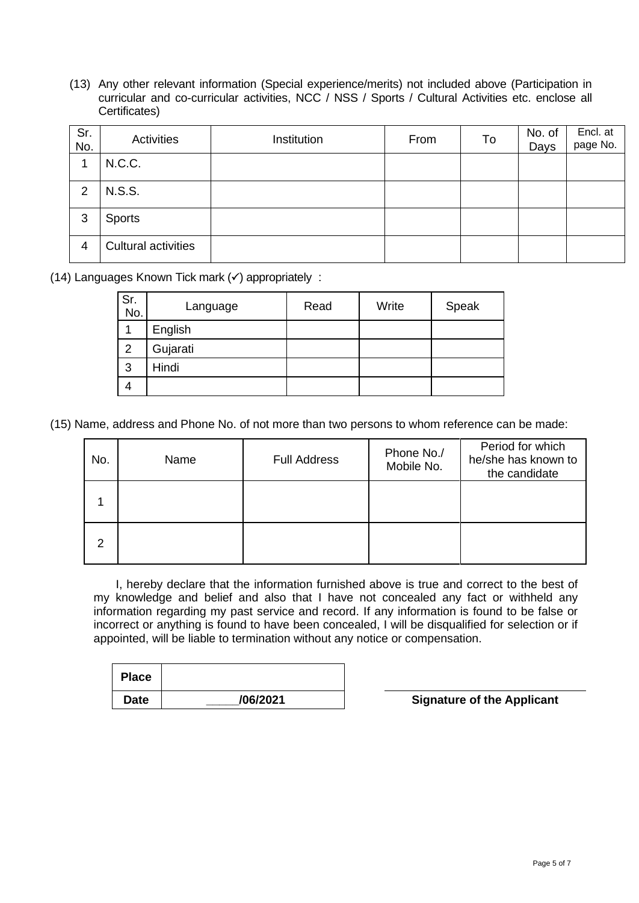(13) Any other relevant information (Special experience/merits) not included above (Participation in curricular and co-curricular activities, NCC / NSS / Sports / Cultural Activities etc. enclose all Certificates)

| Sr.<br>No.     | Activities                 | Institution | From | To | No. of<br>Days | Encl. at<br>page No. |
|----------------|----------------------------|-------------|------|----|----------------|----------------------|
|                | N.C.C.                     |             |      |    |                |                      |
| 2              | <b>N.S.S.</b>              |             |      |    |                |                      |
| 3              | <b>Sports</b>              |             |      |    |                |                      |
| $\overline{4}$ | <b>Cultural activities</b> |             |      |    |                |                      |

(14) Languages Known Tick mark  $(\checkmark)$  appropriately :

| Sr.<br>No.     | Language | Read | Write | Speak |
|----------------|----------|------|-------|-------|
|                | English  |      |       |       |
| $\overline{2}$ | Gujarati |      |       |       |
| 3              | Hindi    |      |       |       |
| 4              |          |      |       |       |

(15) Name, address and Phone No. of not more than two persons to whom reference can be made:

| No. | Name | <b>Full Address</b> | Phone No./<br>Mobile No. | Period for which<br>he/she has known to<br>the candidate |
|-----|------|---------------------|--------------------------|----------------------------------------------------------|
|     |      |                     |                          |                                                          |
| 2   |      |                     |                          |                                                          |

I, hereby declare that the information furnished above is true and correct to the best of my knowledge and belief and also that I have not concealed any fact or withheld any information regarding my past service and record. If any information is found to be false or incorrect or anything is found to have been concealed, I will be disqualified for selection or if appointed, will be liable to termination without any notice or compensation.

| <b>Place</b> |          |
|--------------|----------|
| <b>Date</b>  | /06/2021 |

**Signature of the Applicant**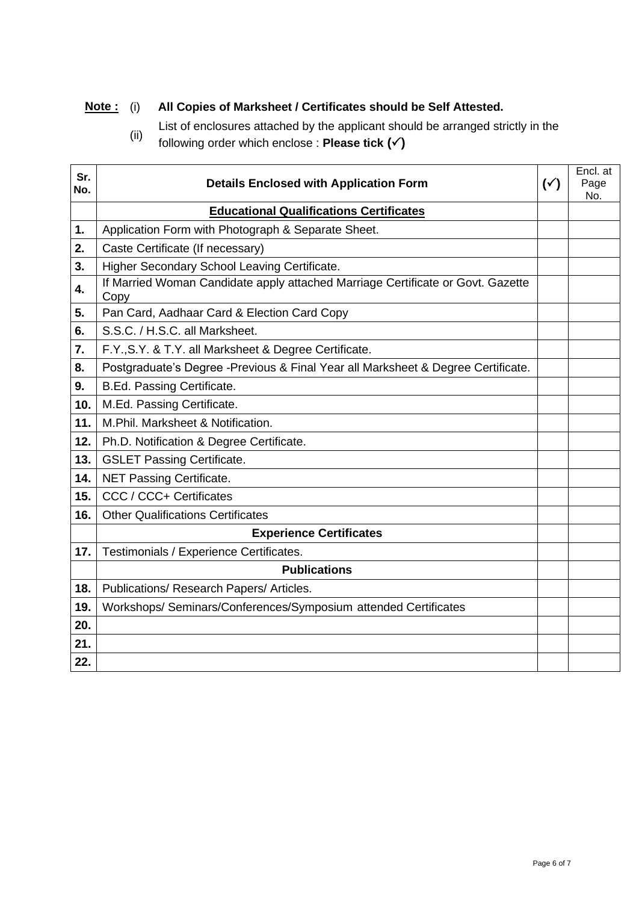## **Note :** (i) **All Copies of Marksheet / Certificates should be Self Attested.**

- List of enclosures attached by the applicant should be arranged strictly in the  $(i)$
- following order which enclose : **Please tick ()**

| Sr.<br>No. | <b>Details Enclosed with Application Form</b>                                           | $(\check{y})$ | Encl. at<br>Page<br>No. |
|------------|-----------------------------------------------------------------------------------------|---------------|-------------------------|
|            | <b>Educational Qualifications Certificates</b>                                          |               |                         |
| 1.         | Application Form with Photograph & Separate Sheet.                                      |               |                         |
| 2.         | Caste Certificate (If necessary)                                                        |               |                         |
| 3.         | Higher Secondary School Leaving Certificate.                                            |               |                         |
| 4.         | If Married Woman Candidate apply attached Marriage Certificate or Govt. Gazette<br>Copy |               |                         |
| 5.         | Pan Card, Aadhaar Card & Election Card Copy                                             |               |                         |
| 6.         | S.S.C. / H.S.C. all Marksheet.                                                          |               |                         |
| 7.         | F.Y., S.Y. & T.Y. all Marksheet & Degree Certificate.                                   |               |                         |
| 8.         | Postgraduate's Degree -Previous & Final Year all Marksheet & Degree Certificate.        |               |                         |
| 9.         | B.Ed. Passing Certificate.                                                              |               |                         |
| 10.        | M.Ed. Passing Certificate.                                                              |               |                         |
| 11.        | M.Phil. Marksheet & Notification.                                                       |               |                         |
| 12.        | Ph.D. Notification & Degree Certificate.                                                |               |                         |
| 13.        | <b>GSLET Passing Certificate.</b>                                                       |               |                         |
| 14.        | NET Passing Certificate.                                                                |               |                         |
| 15.        | CCC / CCC+ Certificates                                                                 |               |                         |
| 16.        | <b>Other Qualifications Certificates</b>                                                |               |                         |
|            | <b>Experience Certificates</b>                                                          |               |                         |
| 17.        | Testimonials / Experience Certificates.                                                 |               |                         |
|            | <b>Publications</b>                                                                     |               |                         |
| 18.        | Publications/ Research Papers/ Articles.                                                |               |                         |
| 19.        | Workshops/ Seminars/Conferences/Symposium attended Certificates                         |               |                         |
| 20.        |                                                                                         |               |                         |
| 21.        |                                                                                         |               |                         |
| 22.        |                                                                                         |               |                         |